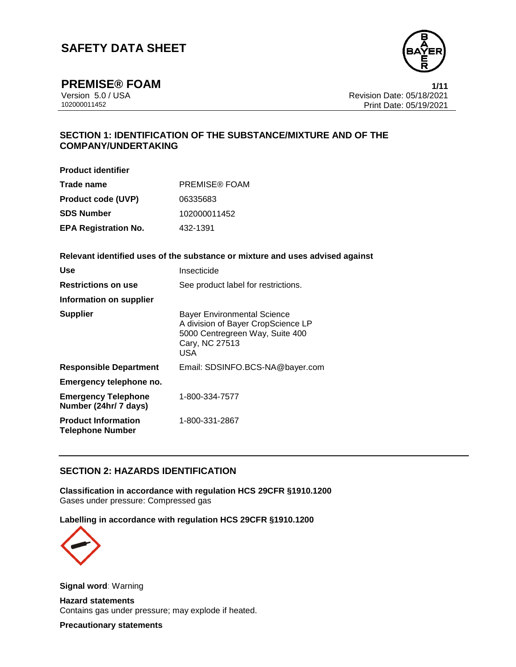

**PREMISE® FOAM 1/11**

Version 5.0 / USA Revision Date: 05/18/2021<br>102000011452 Print Date: 05/19/2021 Print Date: 05/19/2021

## **SECTION 1: IDENTIFICATION OF THE SUBSTANCE/MIXTURE AND OF THE COMPANY/UNDERTAKING**

**Product identifier**

| Trade name                  | <b>PREMISE® FOAM</b> |
|-----------------------------|----------------------|
| <b>Product code (UVP)</b>   | 06335683             |
| <b>SDS Number</b>           | 102000011452         |
| <b>EPA Registration No.</b> | 432-1391             |

**Relevant identified uses of the substance or mixture and uses advised against**

| Use                                                   | Insecticide                                                                                                                                 |
|-------------------------------------------------------|---------------------------------------------------------------------------------------------------------------------------------------------|
| <b>Restrictions on use</b>                            | See product label for restrictions.                                                                                                         |
| Information on supplier                               |                                                                                                                                             |
| <b>Supplier</b>                                       | <b>Bayer Environmental Science</b><br>A division of Bayer CropScience LP<br>5000 Centregreen Way, Suite 400<br>Cary, NC 27513<br><b>USA</b> |
| <b>Responsible Department</b>                         | Email: SDSINFO.BCS-NA@bayer.com                                                                                                             |
| Emergency telephone no.                               |                                                                                                                                             |
| <b>Emergency Telephone</b><br>Number (24hr/ 7 days)   | 1-800-334-7577                                                                                                                              |
| <b>Product Information</b><br><b>Telephone Number</b> | 1-800-331-2867                                                                                                                              |

### **SECTION 2: HAZARDS IDENTIFICATION**

**Classification in accordance with regulation HCS 29CFR §1910.1200** Gases under pressure: Compressed gas

**Labelling in accordance with regulation HCS 29CFR §1910.1200**



**Signal word**: Warning

**Hazard statements** Contains gas under pressure; may explode if heated.

**Precautionary statements**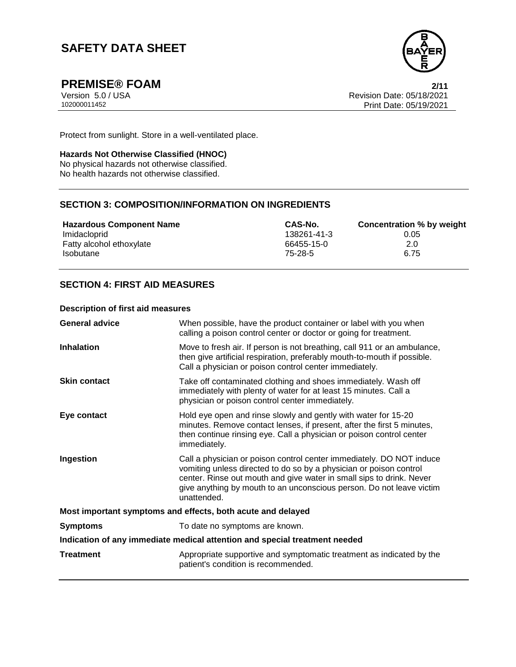

**PREMISE® FOAM** 2/11<br>Version 5.0 / USA 20021 Version 5.0 / USA Revision Date: 05/18/2021<br>102000011452 Print Date: 05/19/2021 Print Date: 05/19/2021

Protect from sunlight. Store in a well-ventilated place.

#### **Hazards Not Otherwise Classified (HNOC)**

No physical hazards not otherwise classified. No health hazards not otherwise classified.

# **SECTION 3: COMPOSITION/INFORMATION ON INGREDIENTS**

**Hazardous Component Name CAS-No. Concentration % by weight** Imidacloprid 138261-41-3 0.05 Fatty alcohol ethoxylate **66455-15-0** 66455-15-0 Isobutane 75-28-5 6.75

### **SECTION 4: FIRST AID MEASURES**

#### **Description of first aid measures**

| <b>General advice</b>                                                      | When possible, have the product container or label with you when<br>calling a poison control center or doctor or going for treatment.                                                                                                                                                                     |  |  |
|----------------------------------------------------------------------------|-----------------------------------------------------------------------------------------------------------------------------------------------------------------------------------------------------------------------------------------------------------------------------------------------------------|--|--|
| <b>Inhalation</b>                                                          | Move to fresh air. If person is not breathing, call 911 or an ambulance,<br>then give artificial respiration, preferably mouth-to-mouth if possible.<br>Call a physician or poison control center immediately.                                                                                            |  |  |
| <b>Skin contact</b>                                                        | Take off contaminated clothing and shoes immediately. Wash off<br>immediately with plenty of water for at least 15 minutes. Call a<br>physician or poison control center immediately.                                                                                                                     |  |  |
| Eye contact                                                                | Hold eye open and rinse slowly and gently with water for 15-20<br>minutes. Remove contact lenses, if present, after the first 5 minutes,<br>then continue rinsing eye. Call a physician or poison control center<br>immediately.                                                                          |  |  |
| Ingestion                                                                  | Call a physician or poison control center immediately. DO NOT induce<br>vomiting unless directed to do so by a physician or poison control<br>center. Rinse out mouth and give water in small sips to drink. Never<br>give anything by mouth to an unconscious person. Do not leave victim<br>unattended. |  |  |
| Most important symptoms and effects, both acute and delayed                |                                                                                                                                                                                                                                                                                                           |  |  |
| <b>Symptoms</b>                                                            | To date no symptoms are known.                                                                                                                                                                                                                                                                            |  |  |
| Indication of any immediate medical attention and special treatment needed |                                                                                                                                                                                                                                                                                                           |  |  |
| <b>Treatment</b>                                                           | Appropriate supportive and symptomatic treatment as indicated by the<br>patient's condition is recommended.                                                                                                                                                                                               |  |  |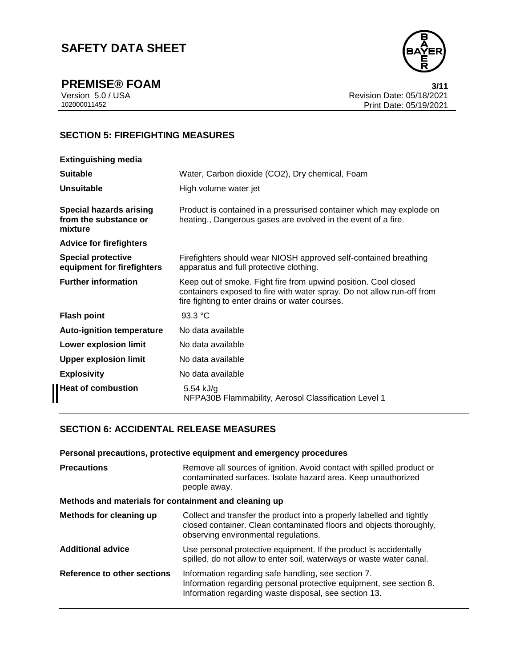

**PREMISE® FOAM** 3/11<br>Version 5.0 / USA 3/12021 Version 5.0 / USA Revision Date: 05/18/2021<br>102000011452 Print Date: 05/19/2021 Print Date: 05/19/2021

# **SECTION 5: FIREFIGHTING MEASURES**

| <b>Extinguishing media</b>                                         |                                                                                                                                                                                              |
|--------------------------------------------------------------------|----------------------------------------------------------------------------------------------------------------------------------------------------------------------------------------------|
| <b>Suitable</b>                                                    | Water, Carbon dioxide (CO2), Dry chemical, Foam                                                                                                                                              |
| Unsuitable                                                         | High volume water jet                                                                                                                                                                        |
| <b>Special hazards arising</b><br>from the substance or<br>mixture | Product is contained in a pressurised container which may explode on<br>heating., Dangerous gases are evolved in the event of a fire.                                                        |
| <b>Advice for firefighters</b>                                     |                                                                                                                                                                                              |
| <b>Special protective</b><br>equipment for firefighters            | Firefighters should wear NIOSH approved self-contained breathing<br>apparatus and full protective clothing.                                                                                  |
| <b>Further information</b>                                         | Keep out of smoke. Fight fire from upwind position. Cool closed<br>containers exposed to fire with water spray. Do not allow run-off from<br>fire fighting to enter drains or water courses. |
| <b>Flash point</b>                                                 | 93.3 °C                                                                                                                                                                                      |
| <b>Auto-ignition temperature</b>                                   | No data available                                                                                                                                                                            |
| Lower explosion limit                                              | No data available                                                                                                                                                                            |
| <b>Upper explosion limit</b>                                       | No data available                                                                                                                                                                            |
| <b>Explosivity</b>                                                 | No data available                                                                                                                                                                            |
| Heat of combustion                                                 | 5.54 kJ/g<br>NFPA30B Flammability, Aerosol Classification Level 1                                                                                                                            |
|                                                                    |                                                                                                                                                                                              |

### **SECTION 6: ACCIDENTAL RELEASE MEASURES**

| Personal precautions, protective equipment and emergency procedures |                                                                                                                                                                                      |  |  |
|---------------------------------------------------------------------|--------------------------------------------------------------------------------------------------------------------------------------------------------------------------------------|--|--|
| <b>Precautions</b>                                                  | Remove all sources of ignition. Avoid contact with spilled product or<br>contaminated surfaces. Isolate hazard area. Keep unauthorized<br>people away.                               |  |  |
| Methods and materials for containment and cleaning up               |                                                                                                                                                                                      |  |  |
| Methods for cleaning up                                             | Collect and transfer the product into a properly labelled and tightly<br>closed container. Clean contaminated floors and objects thoroughly,<br>observing environmental regulations. |  |  |
| <b>Additional advice</b>                                            | Use personal protective equipment. If the product is accidentally<br>spilled, do not allow to enter soil, waterways or waste water canal.                                            |  |  |
| Reference to other sections                                         | Information regarding safe handling, see section 7.<br>Information regarding personal protective equipment, see section 8.<br>Information regarding waste disposal, see section 13.  |  |  |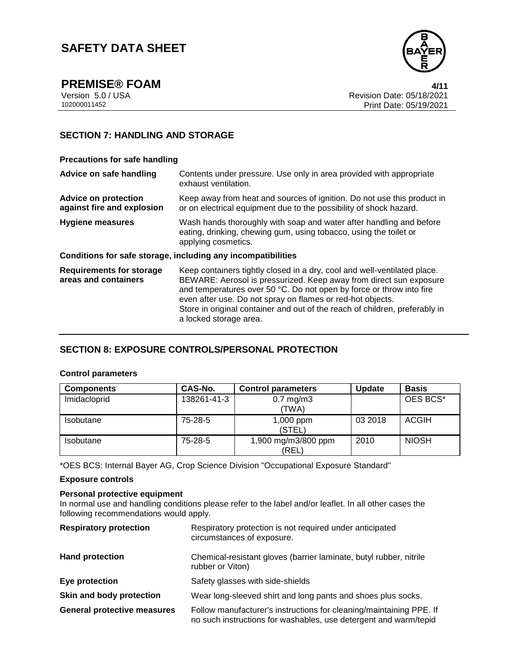

**PREMISE® FOAM** 4/11<br>Version 5.0 / USA 4/12021 Version 5.0 / USA Revision Date: 05/18/2021<br>102000011452 Print Date: 05/19/2021 Print Date: 05/19/2021

### **SECTION 7: HANDLING AND STORAGE**

#### **Precautions for safe handling**

| Advice on safe handling                                   | Contents under pressure. Use only in area provided with appropriate<br>exhaust ventilation.                                                                                                                                                                                                                                                                                                   |  |  |
|-----------------------------------------------------------|-----------------------------------------------------------------------------------------------------------------------------------------------------------------------------------------------------------------------------------------------------------------------------------------------------------------------------------------------------------------------------------------------|--|--|
| <b>Advice on protection</b><br>against fire and explosion | Keep away from heat and sources of ignition. Do not use this product in<br>or on electrical equipment due to the possibility of shock hazard.                                                                                                                                                                                                                                                 |  |  |
| <b>Hygiene measures</b>                                   | Wash hands thoroughly with soap and water after handling and before<br>eating, drinking, chewing gum, using tobacco, using the toilet or<br>applying cosmetics.                                                                                                                                                                                                                               |  |  |
|                                                           | Conditions for safe storage, including any incompatibilities                                                                                                                                                                                                                                                                                                                                  |  |  |
| <b>Requirements for storage</b><br>areas and containers   | Keep containers tightly closed in a dry, cool and well-ventilated place.<br>BEWARE: Aerosol is pressurized. Keep away from direct sun exposure<br>and temperatures over 50 °C. Do not open by force or throw into fire<br>even after use. Do not spray on flames or red-hot objects.<br>Store in original container and out of the reach of children, preferably in<br>a locked storage area. |  |  |

### **SECTION 8: EXPOSURE CONTROLS/PERSONAL PROTECTION**

#### **Control parameters**

| <b>Components</b> | CAS-No.     | <b>Control parameters</b>    | <b>Update</b> | <b>Basis</b> |
|-------------------|-------------|------------------------------|---------------|--------------|
| Imidacloprid      | 138261-41-3 | $0.7$ mg/m $3$<br>(TWA)      |               | OES BCS*     |
| Isobutane         | 75-28-5     | 1,000 ppm<br>(STEL)          | 03 2018       | <b>ACGIH</b> |
| <b>Isobutane</b>  | $75-28-5$   | 1,900 mg/m3/800 ppm<br>(REL) | 2010          | <b>NIOSH</b> |

\*OES BCS: Internal Bayer AG, Crop Science Division "Occupational Exposure Standard"

#### **Exposure controls**

#### **Personal protective equipment**

In normal use and handling conditions please refer to the label and/or leaflet. In all other cases the following recommendations would apply.

| <b>Respiratory protection</b>      | Respiratory protection is not required under anticipated<br>circumstances of exposure.                                                  |
|------------------------------------|-----------------------------------------------------------------------------------------------------------------------------------------|
| <b>Hand protection</b>             | Chemical-resistant gloves (barrier laminate, butyl rubber, nitrile<br>rubber or Viton)                                                  |
| Eye protection                     | Safety glasses with side-shields                                                                                                        |
| Skin and body protection           | Wear long-sleeved shirt and long pants and shoes plus socks.                                                                            |
| <b>General protective measures</b> | Follow manufacturer's instructions for cleaning/maintaining PPE. If<br>no such instructions for washables, use detergent and warm/tepid |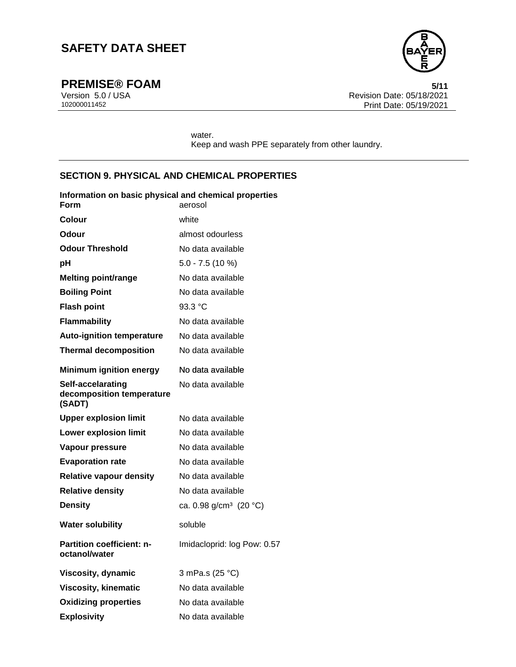

**PREMISE® FOAM** 5/11<br>Version 5.0 / USA 6/11<br>Revision Date: 05/18/2021 Version 5.0 / USA Revision Date: 05/18/2021<br>102000011452 Print Date: 05/19/2021 Print Date: 05/19/2021

> water. Keep and wash PPE separately from other laundry.

### **SECTION 9. PHYSICAL AND CHEMICAL PROPERTIES**

| Information on basic physical and chemical properties<br>Form | aerosol                            |
|---------------------------------------------------------------|------------------------------------|
| Colour                                                        | white                              |
| Odour                                                         | almost odourless                   |
| <b>Odour Threshold</b>                                        | No data available                  |
| рH                                                            | $5.0 - 7.5(10%)$                   |
| <b>Melting point/range</b>                                    | No data available                  |
| <b>Boiling Point</b>                                          | No data available                  |
| <b>Flash point</b>                                            | 93.3 °C                            |
| <b>Flammability</b>                                           | No data available                  |
| <b>Auto-ignition temperature</b>                              | No data available                  |
| <b>Thermal decomposition</b>                                  | No data available                  |
| <b>Minimum ignition energy</b>                                | No data available                  |
| Self-accelarating<br>decomposition temperature<br>(SADT)      | No data available                  |
| <b>Upper explosion limit</b>                                  | No data available                  |
| <b>Lower explosion limit</b>                                  | No data available                  |
| Vapour pressure                                               | No data available                  |
| <b>Evaporation rate</b>                                       | No data available                  |
| <b>Relative vapour density</b>                                | No data available                  |
| <b>Relative density</b>                                       | No data available                  |
| <b>Density</b>                                                | ca. 0.98 g/cm <sup>3</sup> (20 °C) |
| <b>Water solubility</b>                                       | soluble                            |
| <b>Partition coefficient: n-</b><br>octanol/water             | Imidacloprid: log Pow: 0.57        |
| <b>Viscosity, dynamic</b>                                     | 3 mPa.s (25 °C)                    |
| <b>Viscosity, kinematic</b>                                   | No data available                  |
| <b>Oxidizing properties</b>                                   | No data available                  |
| Explosivity                                                   | No data available                  |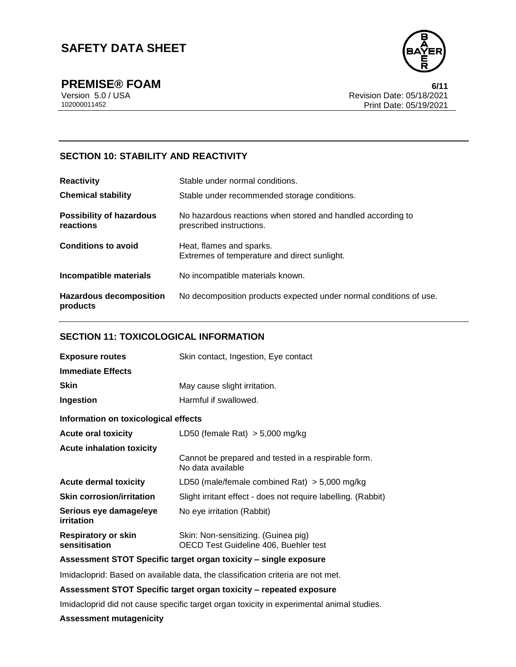

**PREMISE® FOAM** 6/11

Version 5.0 / USA Revision Date: 05/18/2021<br>102000011452 Print Date: 05/19/2021 Print Date: 05/19/2021

### **SECTION 10: STABILITY AND REACTIVITY**

| <b>Reactivity</b>                            | Stable under normal conditions.                                                         |  |  |
|----------------------------------------------|-----------------------------------------------------------------------------------------|--|--|
| <b>Chemical stability</b>                    | Stable under recommended storage conditions.                                            |  |  |
| <b>Possibility of hazardous</b><br>reactions | No hazardous reactions when stored and handled according to<br>prescribed instructions. |  |  |
| <b>Conditions to avoid</b>                   | Heat, flames and sparks.<br>Extremes of temperature and direct sunlight.                |  |  |
| Incompatible materials                       | No incompatible materials known.                                                        |  |  |
| <b>Hazardous decomposition</b><br>products   | No decomposition products expected under normal conditions of use.                      |  |  |

### **SECTION 11: TOXICOLOGICAL INFORMATION**

| Skin contact, Ingestion, Eye contact                                         |  |  |
|------------------------------------------------------------------------------|--|--|
|                                                                              |  |  |
| May cause slight irritation.                                                 |  |  |
| Harmful if swallowed.                                                        |  |  |
| Information on toxicological effects                                         |  |  |
| LD50 (female Rat) $>$ 5,000 mg/kg                                            |  |  |
|                                                                              |  |  |
| Cannot be prepared and tested in a respirable form.<br>No data available     |  |  |
| LD50 (male/female combined Rat) $>$ 5,000 mg/kg                              |  |  |
| Slight irritant effect - does not require labelling. (Rabbit)                |  |  |
| No eye irritation (Rabbit)                                                   |  |  |
| Skin: Non-sensitizing. (Guinea pig)<br>OECD Test Guideline 406, Buehler test |  |  |
|                                                                              |  |  |

#### **Assessment STOT Specific target organ toxicity – single exposure**

Imidacloprid: Based on available data, the classification criteria are not met.

#### **Assessment STOT Specific target organ toxicity – repeated exposure**

Imidacloprid did not cause specific target organ toxicity in experimental animal studies.

#### **Assessment mutagenicity**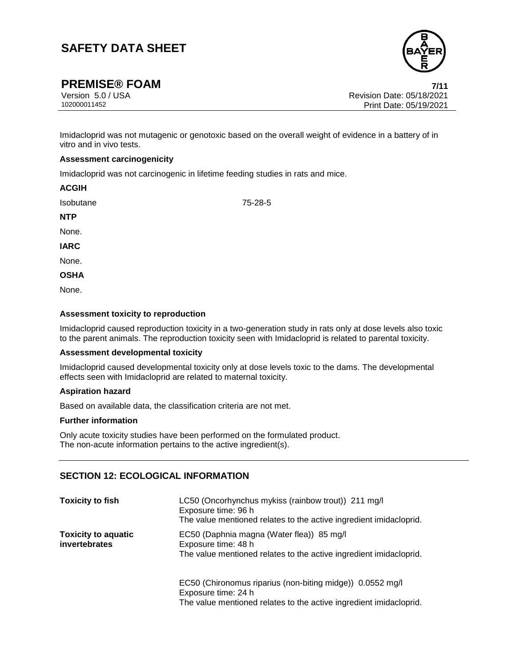

# **PREMISE® FOAM 7/11**

Version 5.0 / USA Revision Date: 05/18/2021<br>102000011452 Print Date: 05/19/2021 Print Date: 05/19/2021

Imidacloprid was not mutagenic or genotoxic based on the overall weight of evidence in a battery of in vitro and in vivo tests.

75-28-5

#### **Assessment carcinogenicity**

Imidacloprid was not carcinogenic in lifetime feeding studies in rats and mice.

| <b>ACGIH</b> |  |  |
|--------------|--|--|
| Isobutane    |  |  |
| <b>NTP</b>   |  |  |
| None.        |  |  |
| <b>IARC</b>  |  |  |
| None.        |  |  |
| <b>OSHA</b>  |  |  |
| None.        |  |  |

#### **Assessment toxicity to reproduction**

Imidacloprid caused reproduction toxicity in a two-generation study in rats only at dose levels also toxic to the parent animals. The reproduction toxicity seen with Imidacloprid is related to parental toxicity.

#### **Assessment developmental toxicity**

Imidacloprid caused developmental toxicity only at dose levels toxic to the dams. The developmental effects seen with Imidacloprid are related to maternal toxicity.

#### **Aspiration hazard**

Based on available data, the classification criteria are not met.

#### **Further information**

Only acute toxicity studies have been performed on the formulated product. The non-acute information pertains to the active ingredient(s).

### **SECTION 12: ECOLOGICAL INFORMATION**

| <b>Toxicity to fish</b>                     | LC50 (Oncorhynchus mykiss (rainbow trout)) 211 mg/l<br>Exposure time: 96 h<br>The value mentioned relates to the active ingredient imidacloprid.       |
|---------------------------------------------|--------------------------------------------------------------------------------------------------------------------------------------------------------|
| <b>Toxicity to aquatic</b><br>invertebrates | EC50 (Daphnia magna (Water flea)) 85 mg/l<br>Exposure time: 48 h<br>The value mentioned relates to the active ingredient imidacloprid.                 |
|                                             | EC50 (Chironomus riparius (non-biting midge)) 0.0552 mg/l<br>Exposure time: 24 h<br>The value mentioned relates to the active ingredient imidacloprid. |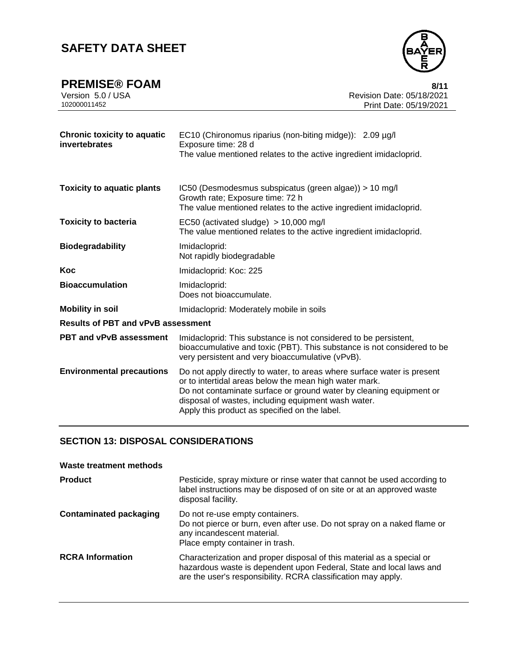| <b>PREMISE® FOAM</b> | 8/11                      |
|----------------------|---------------------------|
| Version 5.0 / USA    | Revision Date: 05/18/2021 |
| 102000011452         | Print Date: 05/19/2021    |
|                      |                           |

| <b>Chronic toxicity to aquatic</b><br>invertebrates | EC10 (Chironomus riparius (non-biting midge)): 2.09 µg/l<br>Exposure time: 28 d<br>The value mentioned relates to the active ingredient imidacloprid.                                                                                                                                                            |  |  |
|-----------------------------------------------------|------------------------------------------------------------------------------------------------------------------------------------------------------------------------------------------------------------------------------------------------------------------------------------------------------------------|--|--|
| <b>Toxicity to aquatic plants</b>                   | IC50 (Desmodesmus subspicatus (green algae)) > 10 mg/l<br>Growth rate; Exposure time: 72 h<br>The value mentioned relates to the active ingredient imidacloprid.                                                                                                                                                 |  |  |
| <b>Toxicity to bacteria</b>                         | EC50 (activated sludge) $> 10,000$ mg/l<br>The value mentioned relates to the active ingredient imidacloprid.                                                                                                                                                                                                    |  |  |
| <b>Biodegradability</b>                             | Imidacloprid:<br>Not rapidly biodegradable                                                                                                                                                                                                                                                                       |  |  |
| Koc                                                 | Imidacloprid: Koc: 225                                                                                                                                                                                                                                                                                           |  |  |
| <b>Bioaccumulation</b>                              | Imidacloprid:<br>Does not bioaccumulate.                                                                                                                                                                                                                                                                         |  |  |
| <b>Mobility in soil</b>                             | Imidacloprid: Moderately mobile in soils                                                                                                                                                                                                                                                                         |  |  |
| <b>Results of PBT and vPvB assessment</b>           |                                                                                                                                                                                                                                                                                                                  |  |  |
| <b>PBT and vPvB assessment</b>                      | Imidacloprid: This substance is not considered to be persistent,<br>bioaccumulative and toxic (PBT). This substance is not considered to be<br>very persistent and very bioaccumulative (vPvB).                                                                                                                  |  |  |
| <b>Environmental precautions</b>                    | Do not apply directly to water, to areas where surface water is present<br>or to intertidal areas below the mean high water mark.<br>Do not contaminate surface or ground water by cleaning equipment or<br>disposal of wastes, including equipment wash water.<br>Apply this product as specified on the label. |  |  |

# **SECTION 13: DISPOSAL CONSIDERATIONS**

| <b>Waste treatment methods</b> |                                                                                                                                                                                                               |
|--------------------------------|---------------------------------------------------------------------------------------------------------------------------------------------------------------------------------------------------------------|
| <b>Product</b>                 | Pesticide, spray mixture or rinse water that cannot be used according to<br>label instructions may be disposed of on site or at an approved waste<br>disposal facility.                                       |
| <b>Contaminated packaging</b>  | Do not re-use empty containers.<br>Do not pierce or burn, even after use. Do not spray on a naked flame or<br>any incandescent material.<br>Place empty container in trash.                                   |
| <b>RCRA Information</b>        | Characterization and proper disposal of this material as a special or<br>hazardous waste is dependent upon Federal, State and local laws and<br>are the user's responsibility. RCRA classification may apply. |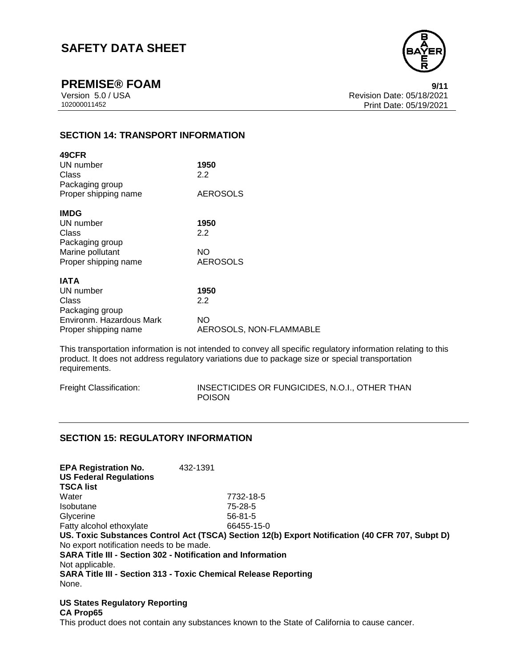

**PREMISE® FOAM** 9/11

Version 5.0 / USA Revision Date: 05/18/2021<br>102000011452 Print Date: 05/19/2021 Print Date: 05/19/2021

## **SECTION 14: TRANSPORT INFORMATION**

| 49CFR                               |                         |
|-------------------------------------|-------------------------|
| UN number                           | 1950                    |
| Class                               | 2.2                     |
| Packaging group                     |                         |
| Proper shipping name                | <b>AEROSOLS</b>         |
| <b>IMDG</b>                         |                         |
| UN number                           | 1950                    |
| Class                               | 2.2                     |
|                                     |                         |
| Packaging group<br>Marine pollutant | NO                      |
| Proper shipping name                | AEROSOLS                |
|                                     |                         |
| IATA                                |                         |
| UN number                           | 1950                    |
| Class                               | 2.2                     |
| Packaging group                     |                         |
| Environm. Hazardous Mark            | NO                      |
| Proper shipping name                | AEROSOLS, NON-FLAMMABLE |
|                                     |                         |

This transportation information is not intended to convey all specific regulatory information relating to this product. It does not address regulatory variations due to package size or special transportation requirements.

| Freight Classification: | INSECTICIDES OR FUNGICIDES, N.O.I., OTHER THAN |
|-------------------------|------------------------------------------------|
|                         | <b>POISON</b>                                  |

#### **SECTION 15: REGULATORY INFORMATION**

**EPA Registration No.** 432-1391 **US Federal Regulations TSCA list** Water 7732-18-5 Isobutane 75-28-5 Glycerine 56-81-5 Fatty alcohol ethoxylate 66455-15-0 **US. Toxic Substances Control Act (TSCA) Section 12(b) Export Notification (40 CFR 707, Subpt D)** No export notification needs to be made. **SARA Title III - Section 302 - Notification and Information** Not applicable. **SARA Title III - Section 313 - Toxic Chemical Release Reporting** None.

**US States Regulatory Reporting CA Prop65** This product does not contain any substances known to the State of California to cause cancer.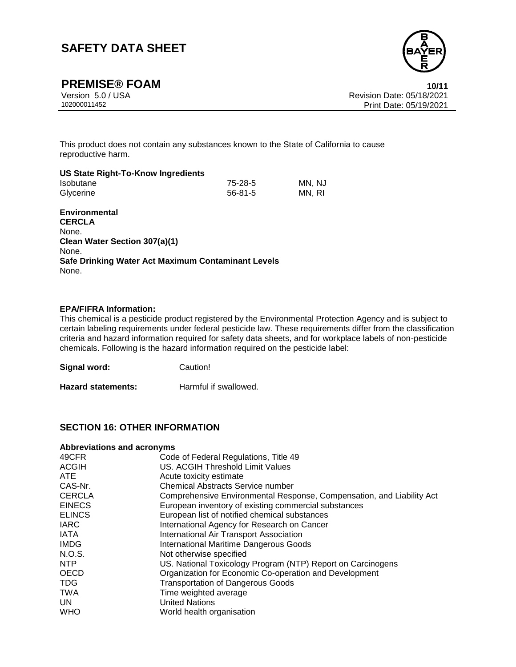

**PREMISE® FOAM 10/11**

Version 5.0 / USA Revision Date: 05/18/2021<br>102000011452 Print Date: 05/19/2021 Print Date: 05/19/2021

This product does not contain any substances known to the State of California to cause reproductive harm.

#### **US State Right-To-Know Ingredients**

| Isobutane |  | $75-28-5$     | MN, NJ |
|-----------|--|---------------|--------|
| Glycerine |  | $56 - 81 - 5$ | MN, RI |

#### **Environmental**

**CERCLA** None. **Clean Water Section 307(a)(1)** None. **Safe Drinking Water Act Maximum Contaminant Levels** None.

#### **EPA/FIFRA Information:**

This chemical is a pesticide product registered by the Environmental Protection Agency and is subject to certain labeling requirements under federal pesticide law. These requirements differ from the classification criteria and hazard information required for safety data sheets, and for workplace labels of non-pesticide chemicals. Following is the hazard information required on the pesticide label:

| Signal word:              | Caution!              |
|---------------------------|-----------------------|
| <b>Hazard statements:</b> | Harmful if swallowed. |

### **SECTION 16: OTHER INFORMATION**

#### **Abbreviations and acronyms**

| 49CFR         | Code of Federal Regulations, Title 49                                 |
|---------------|-----------------------------------------------------------------------|
| <b>ACGIH</b>  | <b>US. ACGIH Threshold Limit Values</b>                               |
| ATE           | Acute toxicity estimate                                               |
| CAS-Nr.       | <b>Chemical Abstracts Service number</b>                              |
| <b>CERCLA</b> | Comprehensive Environmental Response, Compensation, and Liability Act |
| <b>EINECS</b> | European inventory of existing commercial substances                  |
| <b>ELINCS</b> | European list of notified chemical substances                         |
| <b>IARC</b>   | International Agency for Research on Cancer                           |
| <b>IATA</b>   | <b>International Air Transport Association</b>                        |
| <b>IMDG</b>   | <b>International Maritime Dangerous Goods</b>                         |
| N.O.S.        | Not otherwise specified                                               |
| NTP           | US. National Toxicology Program (NTP) Report on Carcinogens           |
| <b>OECD</b>   | Organization for Economic Co-operation and Development                |
| <b>TDG</b>    | <b>Transportation of Dangerous Goods</b>                              |
| <b>TWA</b>    | Time weighted average                                                 |
| UN.           | <b>United Nations</b>                                                 |
| <b>WHO</b>    | World health organisation                                             |